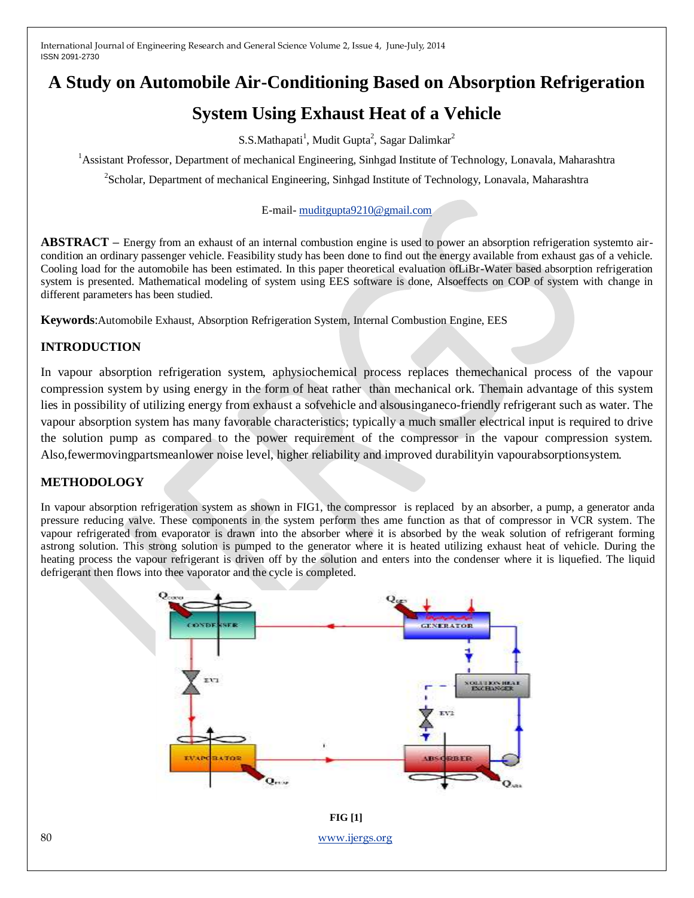# **A Study on Automobile Air-Conditioning Based on Absorption Refrigeration**

## **System Using Exhaust Heat of a Vehicle**

 $S.S.Mathapati<sup>1</sup>, Mudit Gupta<sup>2</sup>, Sagar Dalimkar<sup>2</sup>$ 

<sup>1</sup>Assistant Professor, Department of mechanical Engineering, Sinhgad Institute of Technology, Lonavala, Maharashtra

<sup>2</sup>Scholar, Department of mechanical Engineering, Sinhgad Institute of Technology, Lonavala, Maharashtra

#### E-mail- [muditgupta9210@gmail.com](mailto:muditgupta9210@gmail.com)

**ABSTRACT –** Energy from an exhaust of an internal combustion engine is used to power an absorption refrigeration systemto aircondition an ordinary passenger vehicle. Feasibility study has been done to find out the energy available from exhaust gas of a vehicle. Cooling load for the automobile has been estimated. In this paper theoretical evaluation ofLiBr-Water based absorption refrigeration system is presented. Mathematical modeling of system using EES software is done, Alsoeffects on COP of system with change in different parameters has been studied.

**Keywords**:Automobile Exhaust, Absorption Refrigeration System, Internal Combustion Engine, EES

## **INTRODUCTION**

In vapour absorption refrigeration system, aphysiochemical process replaces themechanical process of the vapour compression system by using energy in the form of heat rather than mechanical ork. Themain advantage of this system lies in possibility of utilizing energy from exhaust a sofvehicle and alsousinganeco-friendly refrigerant such as water. The vapour absorption system has many favorable characteristics; typically a much smaller electrical input is required to drive the solution pump as compared to the power requirement of the compressor in the vapour compression system. Also,fewermovingpartsmeanlower noise level, higher reliability and improved durabilityin vapourabsorptionsystem.

## **METHODOLOGY**

In vapour absorption refrigeration system as shown in FIG1, the compressor is replaced by an absorber, a pump, a generator anda pressure reducing valve. These components in the system perform thes ame function as that of compressor in VCR system. The vapour refrigerated from evaporator is drawn into the absorber where it is absorbed by the weak solution of refrigerant forming astrong solution. This strong solution is pumped to the generator where it is heated utilizing exhaust heat of vehicle. During the heating process the vapour refrigerant is driven off by the solution and enters into the condenser where it is liquefied. The liquid defrigerant then flows into thee vaporator and the cycle is completed.

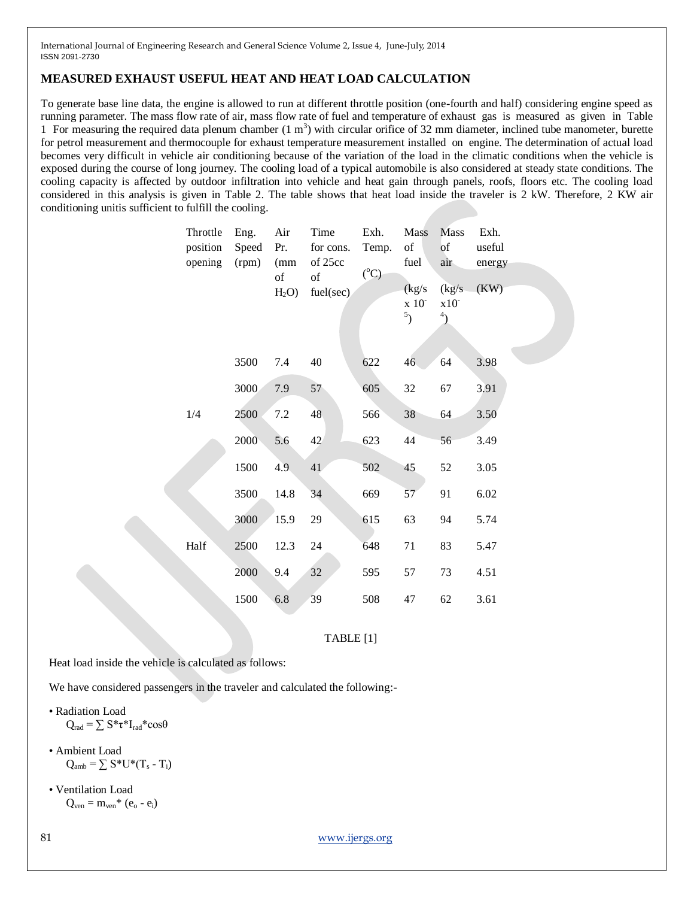#### **MEASURED EXHAUST USEFUL HEAT AND HEAT LOAD CALCULATION**

To generate base line data, the engine is allowed to run at different throttle position (one-fourth and half) considering engine speed as running parameter. The mass flow rate of air, mass flow rate of fuel and temperature of exhaust gas is measured as given in Table 1 For measuring the required data plenum chamber  $(1 \text{ m}^3)$  with circular orifice of 32 mm diameter, inclined tube manometer, burette for petrol measurement and thermocouple for exhaust temperature measurement installed on engine. The determination of actual load becomes very difficult in vehicle air conditioning because of the variation of the load in the climatic conditions when the vehicle is exposed during the course of long journey. The cooling load of a typical automobile is also considered at steady state conditions. The cooling capacity is affected by outdoor infiltration into vehicle and heat gain through panels, roofs, floors etc. The cooling load considered in this analysis is given in Table 2. The table shows that heat load inside the traveler is 2 kW. Therefore, 2 KW air conditioning unitis sufficient to fulfill the cooling.

| Throttle<br>position<br>opening | Eng.<br>Speed<br>(rpm) | Air<br>Pr.<br>(mm)<br>of | Time<br>for cons.<br>of 25cc<br>of | Exh.<br>Temp.<br>$({}^{\circ}C)$ | <b>Mass</b><br>of<br>fuel            | <b>Mass</b><br>of<br>air               | Exh.<br>useful<br>energy |
|---------------------------------|------------------------|--------------------------|------------------------------------|----------------------------------|--------------------------------------|----------------------------------------|--------------------------|
|                                 |                        | H <sub>2</sub> O         | fuel(sec)                          |                                  | (kg/s)<br>x 10 <sup>-</sup><br>$5$ ) | (kg/s)<br>$x10^{-}$<br>$\mathbf{^{4}}$ | (KW)                     |
|                                 | 3500                   | 7.4                      | 40                                 | 622                              | 46                                   | 64                                     | 3.98                     |
|                                 | 3000                   | 7.9                      | 57                                 | 605                              | 32                                   | 67                                     | 3.91                     |
| 1/4                             | 2500                   | 7.2                      | 48                                 | 566                              | 38                                   | 64                                     | 3.50                     |
|                                 | 2000                   | 5.6                      | 42                                 | 623                              | 44                                   | 56                                     | 3.49                     |
|                                 | 1500                   | 4.9                      | 41                                 | 502                              | 45                                   | 52                                     | 3.05                     |
|                                 | 3500                   | 14.8                     | 34                                 | 669                              | 57                                   | 91                                     | 6.02                     |
|                                 | 3000                   | 15.9                     | 29                                 | 615                              | 63                                   | 94                                     | 5.74                     |
| Half                            | 2500                   | 12.3                     | 24                                 | 648                              | 71                                   | 83                                     | 5.47                     |
|                                 | 2000                   | 9.4                      | 32                                 | 595                              | 57                                   | 73                                     | 4.51                     |
|                                 | 1500                   | 6.8                      | 39                                 | 508                              | 47                                   | 62                                     | 3.61                     |

TABLE [1]

Heat load inside the vehicle is calculated as follows:

We have considered passengers in the traveler and calculated the following:-

• Radiation Load  $Q_{\rm rad} = \sum S^* \tau^* I_{\rm rad}^* \cos \theta$ 

- Ambient Load  $Q_{amb} = \sum S^*U^*(T_s - T_i)$
- Ventilation Load  $Q_{ven} = m_{ven}^* (e_o - e_i)$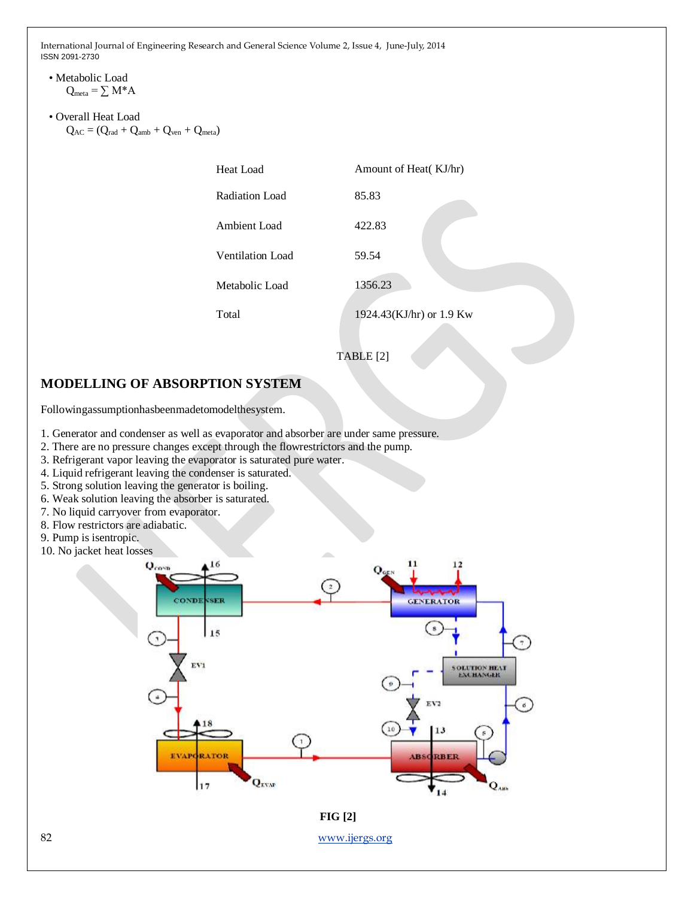#### • Metabolic Load  $Q_{meta} = \sum M^* A$

• Overall Heat Load  $Q_{AC} = (Q_{rad} + Q_{amb} + Q_{ven} + Q_{meta})$ 

| Heat Load        | Amount of Heat(KJ/hr)    |  |  |  |
|------------------|--------------------------|--|--|--|
| Radiation Load   | 85.83                    |  |  |  |
| Ambient Load     | 422.83                   |  |  |  |
| Ventilation Load | 59.54                    |  |  |  |
| Metabolic Load   | 1356.23                  |  |  |  |
| Total            | 1924.43(KJ/hr) or 1.9 Kw |  |  |  |
|                  |                          |  |  |  |



## **MODELLING OF ABSORPTION SYSTEM**

Followingassumptionhasbeenmadetomodelthesystem.

- 1. Generator and condenser as well as evaporator and absorber are under same pressure.
- 2. There are no pressure changes except through the flowrestrictors and the pump.
- 3. Refrigerant vapor leaving the evaporator is saturated pure water.
- 4. Liquid refrigerant leaving the condenser is saturated.
- 5. Strong solution leaving the generator is boiling.
- 6. Weak solution leaving the absorber is saturated.
- 7. No liquid carryover from evaporator.
- 8. Flow restrictors are adiabatic.
- 9. Pump is isentropic.
- 10. No jacket heat losses



**FIG [2]**

82 [www.ijergs.org](http://www.ijergs.org/)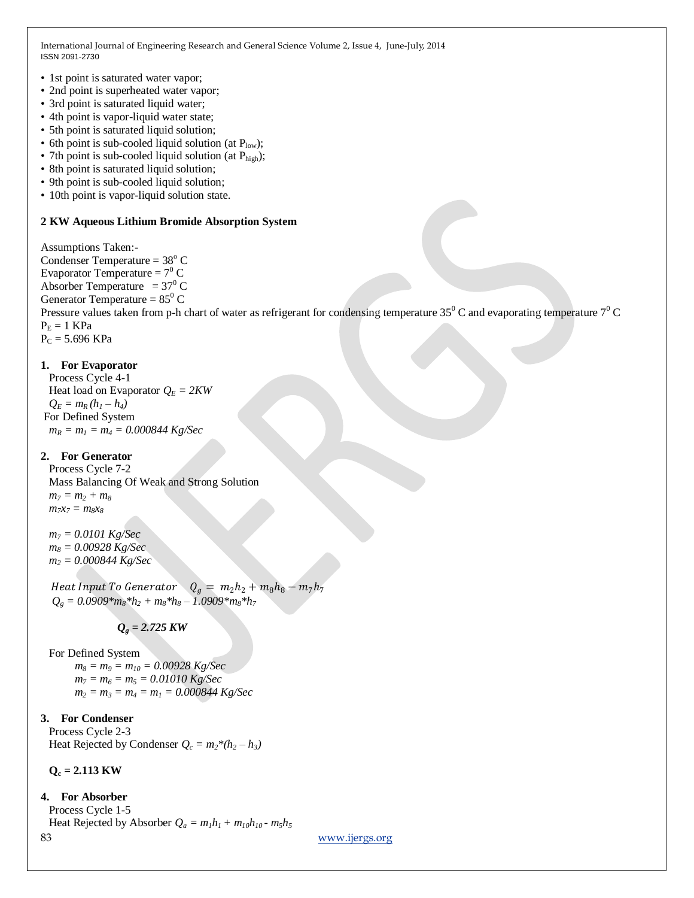- 1st point is saturated water vapor;
- 2nd point is superheated water vapor;
- 3rd point is saturated liquid water;
- 4th point is vapor-liquid water state;
- 5th point is saturated liquid solution;
- 6th point is sub-cooled liquid solution (at  $P_{low}$ );
- 7th point is sub-cooled liquid solution (at  $P_{\text{high}}$ );
- 8th point is saturated liquid solution;
- 9th point is sub-cooled liquid solution;
- 10th point is vapor-liquid solution state.

#### **2 KW Aqueous Lithium Bromide Absorption System**

Assumptions Taken:- Condenser Temperature =  $38^{\circ}$  C Evaporator Temperature =  $7^{\circ}$  C Absorber Temperature =  $37^{\circ}$  C Generator Temperature =  $85^{\circ}$  C Pressure values taken from p-h chart of water as refrigerant for condensing temperature  $35^0$  C and evaporating temperature  $7^0$  C  $P_E = 1$  KPa  $P_C = 5.696$  KPa

#### **1. For Evaporator**

Process Cycle 4-1 Heat load on Evaporator  $Q_E = 2KW$  $Q_E = m_R (h_1 - h_4)$ For Defined System *m<sup>R</sup> = m<sup>1</sup> = m<sup>4</sup> = 0.000844 Kg/Sec*

#### **2. For Generator**

Process Cycle 7-2 Mass Balancing Of Weak and Strong Solution  $m_7 = m_2 + m_8$  $m_7x_7 = m_8x_8$ 

*m<sup>7</sup> = 0.0101 Kg/Sec m<sup>8</sup> = 0.00928 Kg/Sec m<sup>2</sup> = 0.000844 Kg/Sec*

Heat Input To Generator  $Q_g = m_2 h_2 + m_8 h_8 - m_7 h_7$  $Q_g = 0.0909*m_8*h_2 + m_8*h_8 - 1.0909*m_8*h_7$ 

## $Q_e = 2.725$  KW

For Defined System

 *m<sup>8</sup> = m<sup>9</sup> = m<sup>10</sup> = 0.00928 Kg/Sec*  $m_7 = m_6 = m_5 = 0.01010$  Kg/Sec  $m_2 = m_3 = m_4 = m_1 = 0.000844$  Kg/Sec

#### **3. For Condenser**

Process Cycle 2-3 Heat Rejected by Condenser  $Q_c = m_2 * (h_2 - h_3)$ 

**Q<sup>c</sup> = 2.113 KW**

**4. For Absorber**

83 [www.ijergs.org](http://www.ijergs.org/) Process Cycle 1-5 Heat Rejected by Absorber  $Q_a = m_1 h_1 + m_1 o h_{10}$  *-*  $m_5 h_5$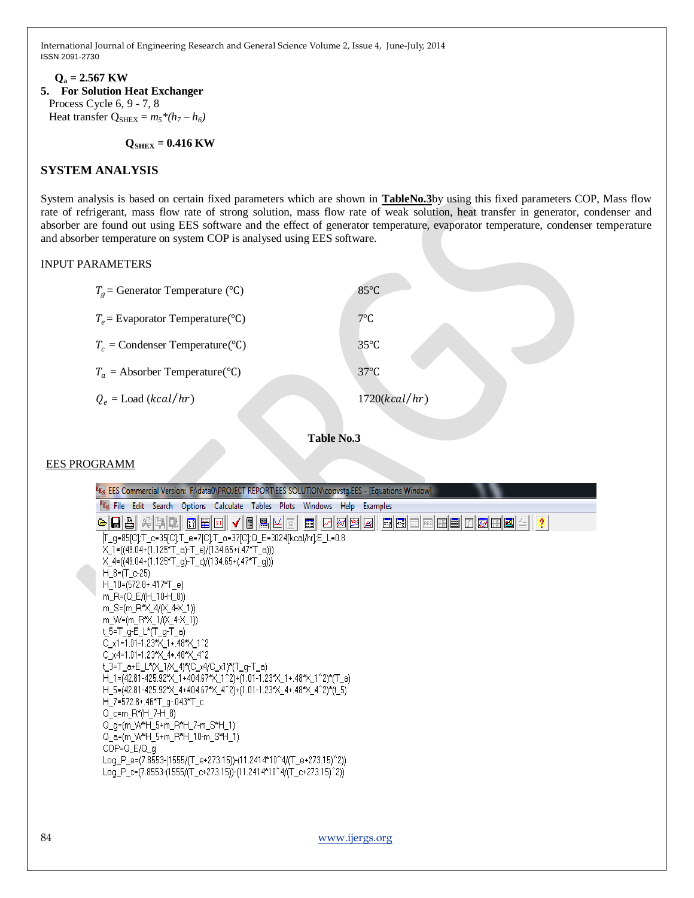#### **Q<sup>a</sup> = 2.567 KW 5. For Solution Heat Exchanger** Process Cycle 6, 9 - 7, 8 Heat transfer  $Q_{\text{SHEX}} = m_5 * (h_7 - h_6)$

 **QSHEX = 0.416 KW**

#### **SYSTEM ANALYSIS**

System analysis is based on certain fixed parameters which are shown in **TableNo.3**by using this fixed parameters COP, Mass flow rate of refrigerant, mass flow rate of strong solution, mass flow rate of weak solution, heat transfer in generator, condenser and absorber are found out using EES software and the effect of generator temperature, evaporator temperature, condenser temperature and absorber temperature on system COP is analysed using EES software.

#### INPUT PARAMETERS

| $T_q$ = Generator Temperature (°C) | $85^{\circ}$ C |
|------------------------------------|----------------|
| $T_e$ = Evaporator Temperature(°C) | $7^{\circ}$ C  |
| $T_c$ = Condenser Temperature(°C)  | $35^{\circ}$ C |
| $T_a$ = Absorber Temperature(°C)   | $37^{\circ}$ C |
| $Q_e =$ Load (kcal/hr)             | 1720(kcal/hr)  |



#### EES PROGRAMM

| Fr <sub>s</sub> EES Commercial Version: F:\data0\PROJECT REPORT\EES SOLUTION\copvstg.EES - [Equations Window] |
|---------------------------------------------------------------------------------------------------------------|
| <sup>FE</sup> S File Edit Search Options Calculate Tables Plots Windows Help Examples                         |
| $\sqrt{ \mathbf{m}   \mathbf{m} }$<br><b>因网图图 同国国国国国门网田国生 ?</b><br>어디 왜 왜 이 이 이<br>圍<br> G                    |
| T_g=85[C];T_c=35[C];T_e=7[C];T_a=37[C];Q_E=3024[kcal/hr];E_L=0.8                                              |
| $X_1=(49.04+(1.125*T_a)-T_e)/(134.65+(.47*T_a)))$                                                             |
| $X_4=(49.04+(1.125*T_q)-T_c)/(134.65+(.47*T_q)))$                                                             |
| $H_8 = (T_6 - 25)$                                                                                            |
| $H_10=(572.8+.417*T_e)$                                                                                       |
| m_R=(Q_E/(H_10-H_8))                                                                                          |
| m_S=(m_R*X_4/(X_4-X_1))                                                                                       |
| m_W=(m_R*X_1/(X_4-X_1))                                                                                       |
| t_5=T_q-E_L*(T_q-T_a)                                                                                         |
| C $\times$ 1=1.01-1.23* $\times$ 1+.48* $\times$ 1^2<br>C_x4=1.01-1.23*X_4+.48*X_4^2                          |
| t_3=T_a+E_L*(X_1/X_4)*(C_x4/C_x1)*(T_g-T_a)                                                                   |
| H_1=(42.81-425.92*X_1+404.67*X_1^2)+(1.01-1.23*X_1+.48*X_1^2)*(T_a)                                           |
| H_5=(42.81-425.92*X_4+404.67*X_4^2)+(1.01-1.23*X_4+.48*X_4^2)*(t_5)                                           |
| H_7=572.8+.46*T_q-.043*T_c                                                                                    |
| Q_c=m_R*(H_7-H_8)                                                                                             |
| Q_q=(m_W*H_5+m_R*H_7-m_S*H_1)                                                                                 |
| Q_a=(m_W*H_5+m_R*H_10-m_S*H_1)                                                                                |
| COP=Q E/Q a                                                                                                   |
| Log_P_e=(7.8553-(1555/(T_e+273.15))-(11.2414*10^4/(T_e+273.15)^2))                                            |
| Log_P_c=(7.8553-(1555/(T_c+273.15))-(11.2414*10^4/(T_c+273.15)^2))                                            |
|                                                                                                               |
|                                                                                                               |
|                                                                                                               |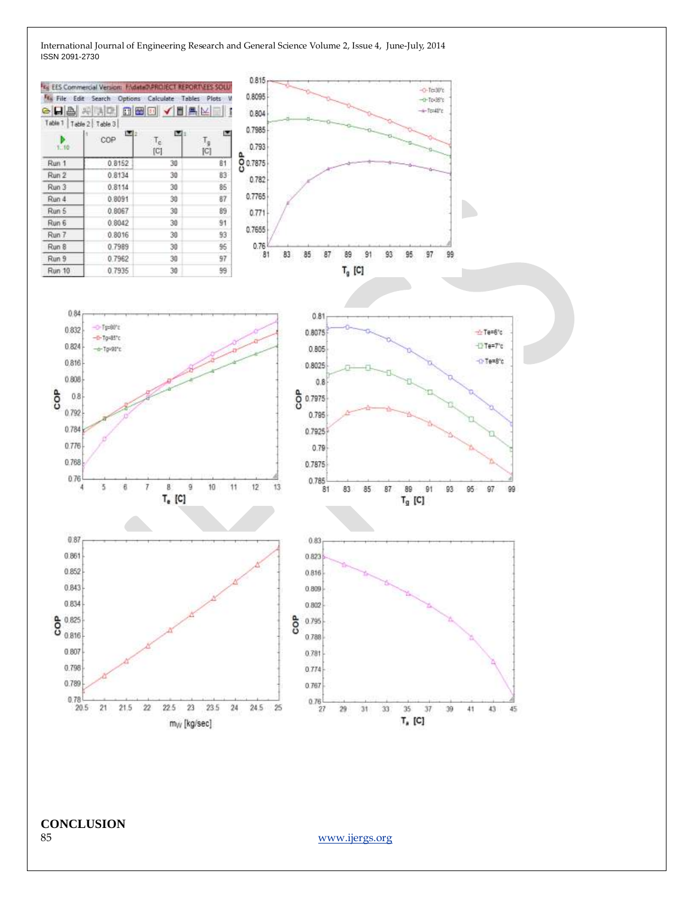